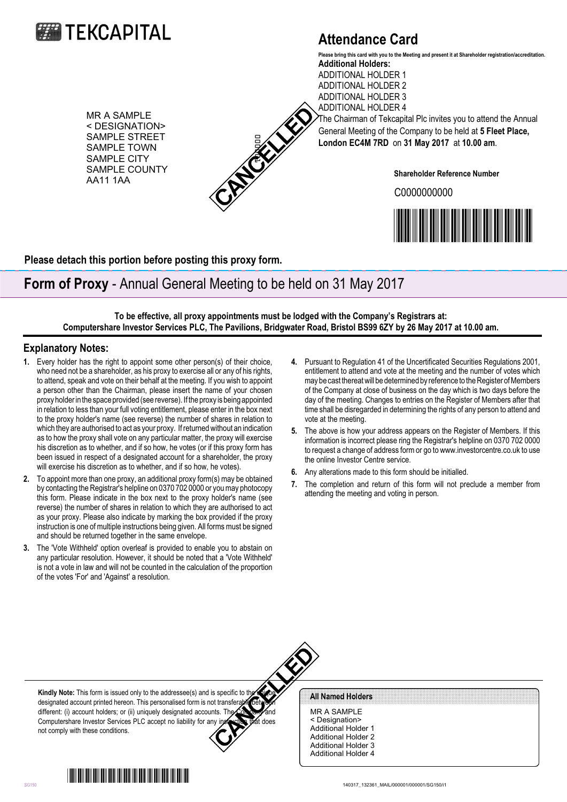

## **Attendance Card**

**Additional Holders:** ADDITIONAL HOLDER 1 ADDITIONAL HOLDER 2 ADDITIONAL HOLDER 3 **Please bring this card with you to the Meeting and present it at Shareholder registration/accreditation.**

MR A SAMPLE < DESIGNATION> SAMPLE STREET SAMPLE TOWN SAMPLE CITY SAMPLE COUNTY AA11 1AA



ADDITIONAL HOLDER 4 The Chairman of Tekcapital Plc invites you to attend the Annual General Meeting of the Company to be held at **5 Fleet Place, London EC4M 7RD** on **31 May 2017** at **10.00 am**.

**Shareholder Reference Number**

C0000000000



**Please detach this portion before posting this proxy form.**

## **Form of Proxy** - Annual General Meeting to be held on 31 May 2017

**To be effective, all proxy appointments must be lodged with the Company's Registrars at: Computershare Investor Services PLC, The Pavilions, Bridgwater Road, Bristol BS99 6ZY by 26 May 2017 at 10.00 am.**

## **Explanatory Notes:**

- **1.** Every holder has the right to appoint some other person(s) of their choice, who need not be a shareholder, as his proxy to exercise all or any of his rights, to attend, speak and vote on their behalf at the meeting. If you wish to appoint a person other than the Chairman, please insert the name of your chosen proxy holder in the space provided (see reverse). If the proxy is being appointed in relation to less than your full voting entitlement, please enter in the box next to the proxy holder's name (see reverse) the number of shares in relation to which they are authorised to act as your proxy. If returned without an indication as to how the proxy shall vote on any particular matter, the proxy will exercise his discretion as to whether, and if so how, he votes (or if this proxy form has been issued in respect of a designated account for a shareholder, the proxy will exercise his discretion as to whether, and if so how, he votes). SAMPLE COUNTY SHAPPEND (AND ARREST UNITS OF THE SAMPLE COUNTY Shareholder Research County of The SAMPLE COUNTY Shareholder Research County of The SAMPLE COUNTY Shareholder Research County of The SAMPLE COUNTY Shareholder
- **2.** To appoint more than one proxy, an additional proxy form(s) may be obtained by contacting the Registrar's helpline on 0370 702 0000 or you may photocopy this form. Please indicate in the box next to the proxy holder's name (see reverse) the number of shares in relation to which they are authorised to act as your proxy. Please also indicate by marking the box provided if the proxy instruction is one of multiple instructions being given. All forms must be signed and should be returned together in the same envelope.
- **3.** The 'Vote Withheld' option overleaf is provided to enable you to abstain on any particular resolution. However, it should be noted that a 'Vote Withheld' is not a vote in law and will not be counted in the calculation of the proportion of the votes 'For' and 'Against' a resolution.
- **4.** Pursuant to Regulation 41 of the Uncertificated Securities Regulations 2001, entitlement to attend and vote at the meeting and the number of votes which may be cast thereat will be determined by reference to the Register of Members of the Company at close of business on the day which is two days before the day of the meeting. Changes to entries on the Register of Members after that time shall be disregarded in determining the rights of any person to attend and vote at the meeting.
- **5.** The above is how your address appears on the Register of Members. If this information is incorrect please ring the Registrar's helpline on 0370 702 0000 to request a change of address form or go to www.investorcentre.co.uk to use the online Investor Centre service.
- **6.** Any alterations made to this form should be initialled.
- **7.** The completion and return of this form will not preclude a member from attending the meeting and voting in person.



**Kindly Note:** This form is issued only to the addressee(s) and is specific to the unique designated account printed hereon. This personalised form is not transferable between different: (i) account holders; or (ii) uniquely designated accounts. The Company and Computershare Investor Services PLC accept no liability for any instruction that does not comply with these conditions.

MR A SAMPLE < Designation> Additional Holder 1 Additional Holder 2 Additional Holder 3 Additional Holder 4